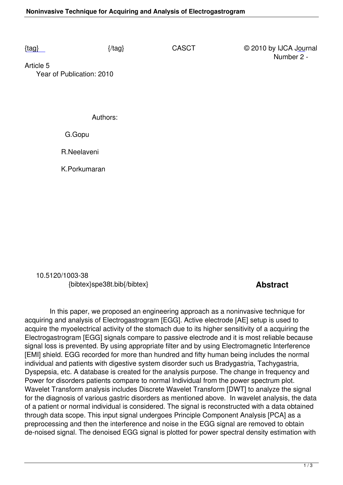Article 5  [Yea](/casct/number2/SPE38T.pdf)r of Publication: 2010

Authors:

G.Gopu

R.Neelaveni

K.Porkumaran

 10.5120/1003-38 {bibtex}spe38t.bib{/bibtex} **Abstract** 

 In this paper, we proposed an engineering approach as a noninvasive technique for acquiring and analysis of Electrogastrogram [EGG]. Active electrode [AE] setup is used to acquire the myoelectrical activity of the stomach due to its higher sensitivity of a acquiring the Electrogastrogram [EGG] signals compare to passive electrode and it is most reliable because signal loss is prevented. By using appropriate filter and by using Electromagnetic Interference [EMI] shield. EGG recorded for more than hundred and fifty human being includes the normal individual and patients with digestive system disorder such us Bradygastria, Tachygastria, Dyspepsia, etc. A database is created for the analysis purpose. The change in frequency and Power for disorders patients compare to normal Individual from the power spectrum plot. Wavelet Transform analysis includes Discrete Wavelet Transform [DWT] to analyze the signal for the diagnosis of various gastric disorders as mentioned above. In wavelet analysis, the data of a patient or normal individual is considered. The signal is reconstructed with a data obtained through data scope. This input signal undergoes Principle Component Analysis [PCA] as a preprocessing and then the interference and noise in the EGG signal are removed to obtain de-noised signal. The denoised EGG signal is plotted for power spectral density estimation with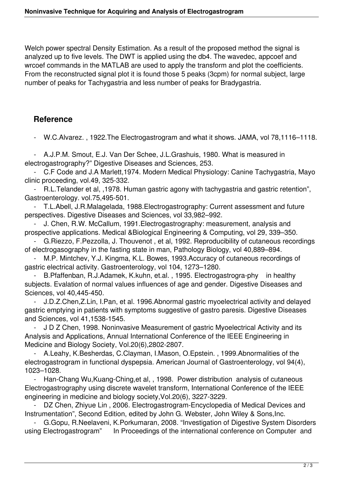Welch power spectral Density Estimation. As a result of the proposed method the signal is analyzed up to five levels. The DWT is applied using the db4. The wavedec, appcoef and wrcoef commands in the MATLAB are used to apply the transform and plot the coefficients. From the reconstructed signal plot it is found those 5 peaks (3cpm) for normal subject, large number of peaks for Tachygastria and less number of peaks for Bradygastria.

## **Reference**

- W.C.Alvarez. , 1922.The Electrogastrogram and what it shows. JAMA, vol 78,1116–1118.

 - A.J.P.M. Smout, E.J. Van Der Schee, J.L.Grashuis, 1980. What is measured in electrogastrography?" Digestive Diseases and Sciences, 253.

 - C.F Code and J.A Marlett,1974. Modern Medical Physiology: Canine Tachygastria, Mayo clinic proceeding, vol.49, 325-332.

 - R.L.Telander et al, ,1978. Human gastric agony with tachygastria and gastric retention", Gastroenterology. vol.75,495-501.

 - T.L.Abell, J.R.Malagelada, 1988.Electrogastrography: Current assessment and future perspectives. Digestive Diseases and Sciences, vol 33,982–992.

 - J. Chen, R.W. McCallum, 1991.Electrogastrography: measurement, analysis and prospective applications. Medical &Biological Engineering & Computing, vol 29, 339–350.

 - G.Riezzo, F.Pezzolla, J. Thouvenot , et al, 1992. Reproducibility of cutaneous recordings of electrogasography in the fasting state in man, Pathology Biology, vol 40,889–894.

M.P. Mintchev, Y.J. Kingma, K.L. Bowes, 1993.Accuracy of cutaneous recordings of gastric electrical activity. Gastroenterology, vol 104, 1273–1280.

 - B.Pfaffenban, R.J.Adamek, K.kuhn, et.al. , 1995. Electrogastrogra-phy in healthy subjects. Evalation of normal values influences of age and gender. Digestive Diseases and Sciences, vol 40,445-450.

 - J.D.Z.Chen,Z.Lin, I.Pan, et al. 1996.Abnormal gastric myoelectrical activity and delayed gastric emptying in patients with symptoms suggestive of gastro paresis. Digestive Diseases and Sciences, vol 41,1538-1545.

J D Z Chen, 1998. Noninvasive Measurement of gastric Myoelectrical Activity and its Analysis and Applications, Annual International Conference of the IEEE Engineering in Medicine and Biology Society, Vol.20(6),2802-2807.

A.Leahy, K.Besherdas, C.Clayman, I.Mason, O.Epstein., 1999.Abnormalities of the electrogastrogram in functional dyspepsia. American Journal of Gastroenterology, vol 94(4), 1023–1028.

 - Han-Chang Wu,Kuang-Ching,et al, , 1998. Power distribution analysis of cutaneous Electrogastrography using discrete wavelet transform, International Conference of the IEEE engineering in medicine and biology society,Vol.20(6), 3227-3229.

DZ Chen, Zhiyue Lin, 2006. Electrogastrogram-Encyclopedia of Medical Devices and Instrumentation", Second Edition, edited by John G. Webster, John Wiley & Sons,Inc.

 - G.Gopu, R.Neelaveni, K.Porkumaran, 2008. "Investigation of Digestive System Disorders using Electrogastrogram" In Proceedings of the international conference on Computer and